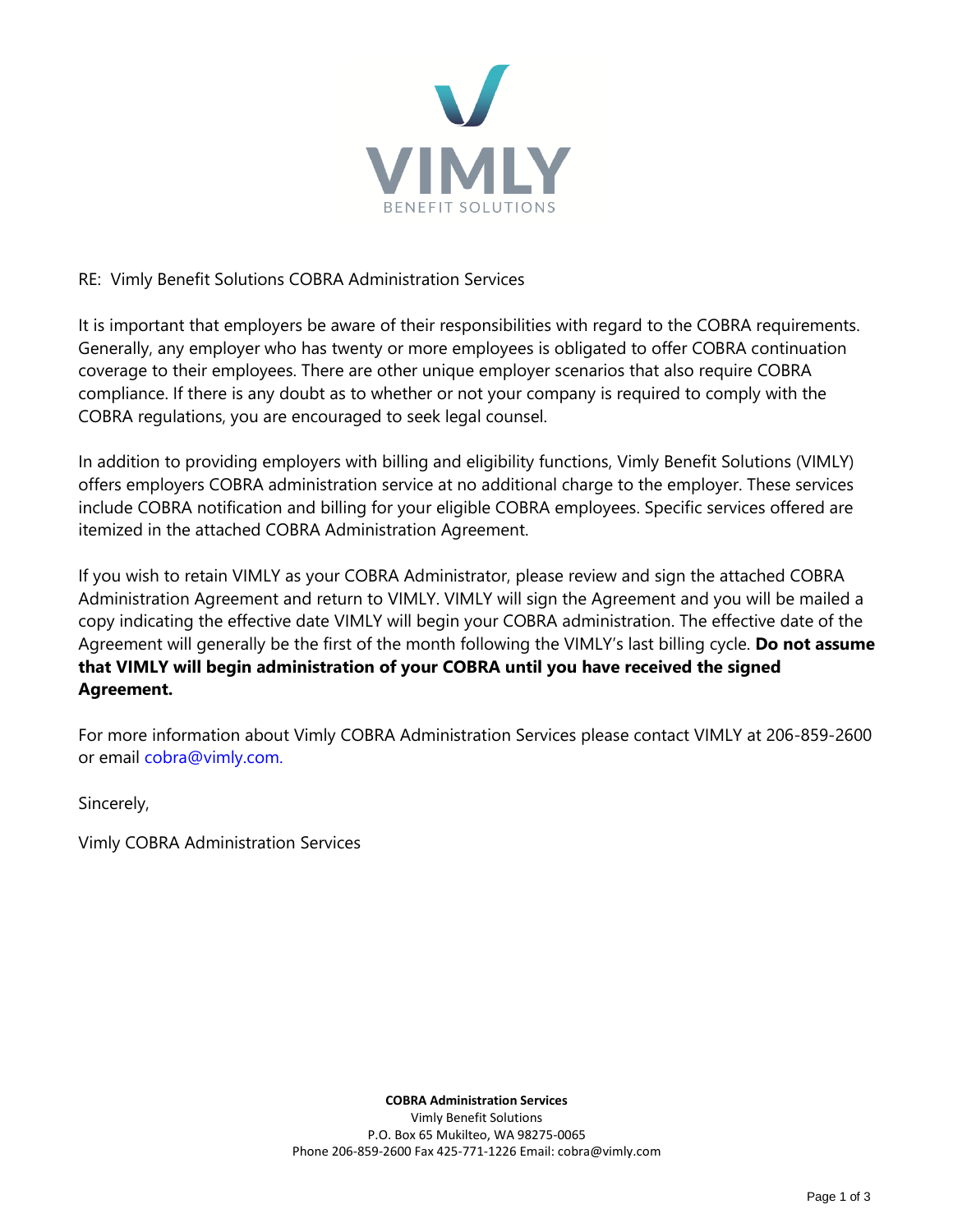

# RE: Vimly Benefit Solutions COBRA Administration Services

It is important that employers be aware of their responsibilities with regard to the COBRA requirements. Generally, any employer who has twenty or more employees is obligated to offer COBRA continuation coverage to their employees. There are other unique employer scenarios that also require COBRA compliance. If there is any doubt as to whether or not your company is required to comply with the COBRA regulations, you are encouraged to seek legal counsel.

In addition to providing employers with billing and eligibility functions, Vimly Benefit Solutions (VIMLY) offers employers COBRA administration service at no additional charge to the employer. These services include COBRA notification and billing for your eligible COBRA employees. Specific services offered are itemized in the attached COBRA Administration Agreement.

If you wish to retain VIMLY as your COBRA Administrator, please review and sign the attached COBRA Administration Agreement and return to VIMLY. VIMLY will sign the Agreement and you will be mailed a copy indicating the effective date VIMLY will begin your COBRA administration. The effective date of the Agreement will generally be the first of the month following the VIMLY's last billing cycle. **Do not assume that VIMLY will begin administration of your COBRA until you have received the signed Agreement.**

For more information about Vimly COBRA Administration Services please contact VIMLY at 206-859-2600 or email cobra@vimly.com.

Sincerely,

Vimly COBRA Administration Services

**COBRA Administration Services** Vimly Benefit Solutions P.O. Box 65 Mukilteo, WA 98275-0065 Phone 206-859-2600 Fax 425-771-1226 Email: cobra@vimly.com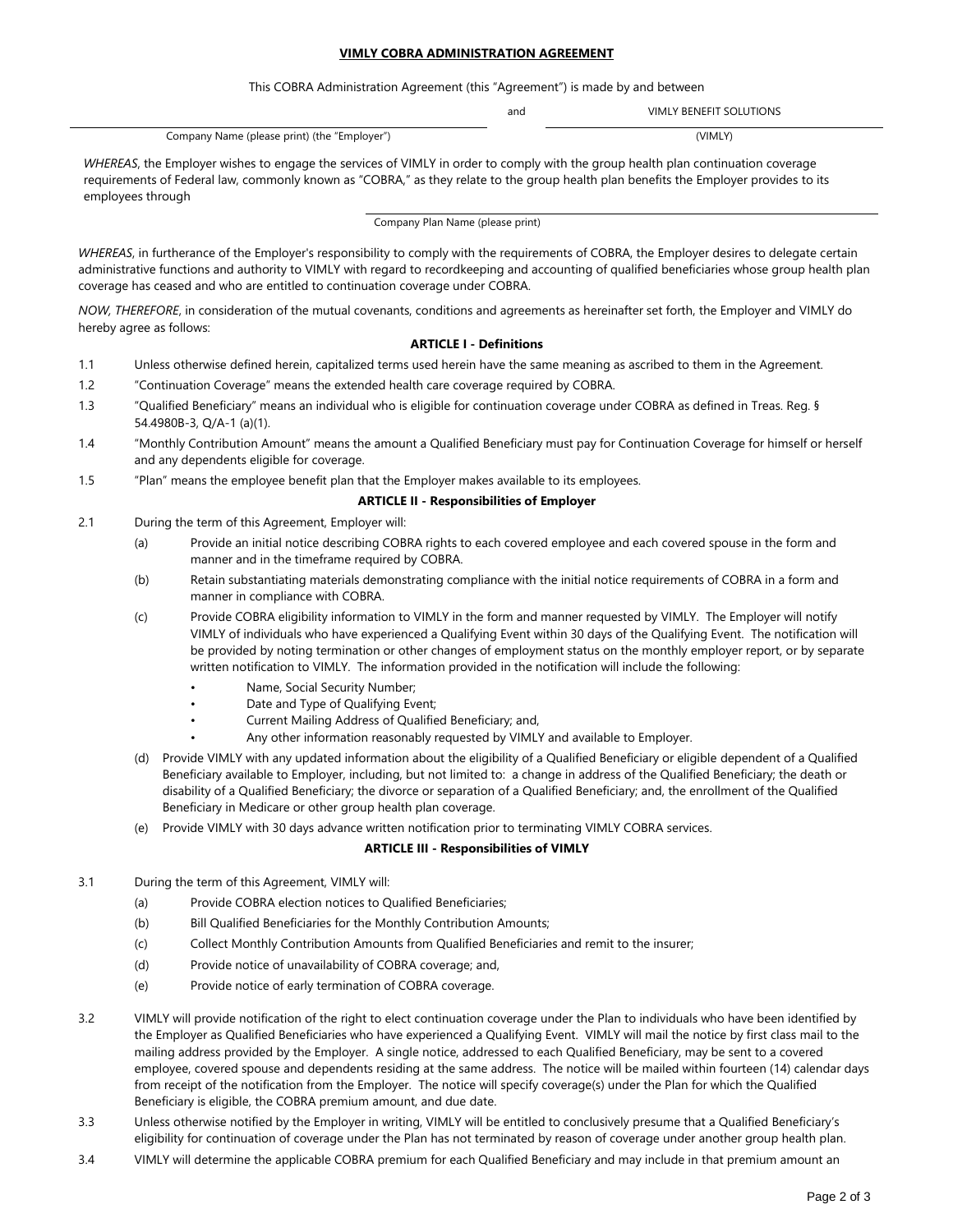#### **VIMLY COBRA ADMINISTRATION AGREEMENT**

This COBRA Administration Agreement (this "Agreement") is made by and between

and VIMLY BENEFIT SOLUTIONS

Company Name (please print) (the "Employer") (VIMLY)

*WHEREAS*, the Employer wishes to engage the services of VIMLY in order to comply with the group health plan continuation coverage requirements of Federal law, commonly known as "COBRA," as they relate to the group health plan benefits the Employer provides to its employees through

Company Plan Name (please print)

*WHEREAS*, in furtherance of the Employer's responsibility to comply with the requirements of COBRA, the Employer desires to delegate certain administrative functions and authority to VIMLY with regard to recordkeeping and accounting of qualified beneficiaries whose group health plan coverage has ceased and who are entitled to continuation coverage under COBRA.

*NOW, THEREFORE*, in consideration of the mutual covenants, conditions and agreements as hereinafter set forth, the Employer and VIMLY do hereby agree as follows:

# **ARTICLE I - Definitions**

- 1.1 Unless otherwise defined herein, capitalized terms used herein have the same meaning as ascribed to them in the Agreement.
- 1.2 "Continuation Coverage" means the extended health care coverage required by COBRA.
- 1.3 "Qualified Beneficiary" means an individual who is eligible for continuation coverage under COBRA as defined in Treas. Reg. § 54.4980B-3, Q/A-1 (a)(1).
- 1.4 "Monthly Contribution Amount" means the amount a Qualified Beneficiary must pay for Continuation Coverage for himself or herself and any dependents eligible for coverage.
- 1.5 "Plan" means the employee benefit plan that the Employer makes available to its employees.

# **ARTICLE II - Responsibilities of Employer**

- 2.1 During the term of this Agreement, Employer will:
	- (a) Provide an initial notice describing COBRA rights to each covered employee and each covered spouse in the form and manner and in the timeframe required by COBRA.
	- (b) Retain substantiating materials demonstrating compliance with the initial notice requirements of COBRA in a form and manner in compliance with COBRA.
	- (c) Provide COBRA eligibility information to VIMLY in the form and manner requested by VIMLY. The Employer will notify VIMLY of individuals who have experienced a Qualifying Event within 30 days of the Qualifying Event. The notification will be provided by noting termination or other changes of employment status on the monthly employer report, or by separate written notification to VIMLY. The information provided in the notification will include the following:
		- Name, Social Security Number;
		- Date and Type of Qualifying Event;
		- Current Mailing Address of Qualified Beneficiary; and,
		- Any other information reasonably requested by VIMLY and available to Employer.
	- (d) Provide VIMLY with any updated information about the eligibility of a Qualified Beneficiary or eligible dependent of a Qualified Beneficiary available to Employer, including, but not limited to: a change in address of the Qualified Beneficiary; the death or disability of a Qualified Beneficiary; the divorce or separation of a Qualified Beneficiary; and, the enrollment of the Qualified Beneficiary in Medicare or other group health plan coverage.
	- (e) Provide VIMLY with 30 days advance written notification prior to terminating VIMLY COBRA services.

#### **ARTICLE III - Responsibilities of VIMLY**

- 3.1 During the term of this Agreement, VIMLY will:
	- (a) Provide COBRA election notices to Qualified Beneficiaries;
	- (b) Bill Qualified Beneficiaries for the Monthly Contribution Amounts;
	- (c) Collect Monthly Contribution Amounts from Qualified Beneficiaries and remit to the insurer;
	- (d) Provide notice of unavailability of COBRA coverage; and,
	- (e) Provide notice of early termination of COBRA coverage.
- 3.2 VIMLY will provide notification of the right to elect continuation coverage under the Plan to individuals who have been identified by the Employer as Qualified Beneficiaries who have experienced a Qualifying Event. VIMLY will mail the notice by first class mail to the mailing address provided by the Employer. A single notice, addressed to each Qualified Beneficiary, may be sent to a covered employee, covered spouse and dependents residing at the same address. The notice will be mailed within fourteen (14) calendar days from receipt of the notification from the Employer. The notice will specify coverage(s) under the Plan for which the Qualified Beneficiary is eligible, the COBRA premium amount, and due date.
- 3.3 Unless otherwise notified by the Employer in writing, VIMLY will be entitled to conclusively presume that a Qualified Beneficiary's eligibility for continuation of coverage under the Plan has not terminated by reason of coverage under another group health plan.
- 3.4 VIMLY will determine the applicable COBRA premium for each Qualified Beneficiary and may include in that premium amount an